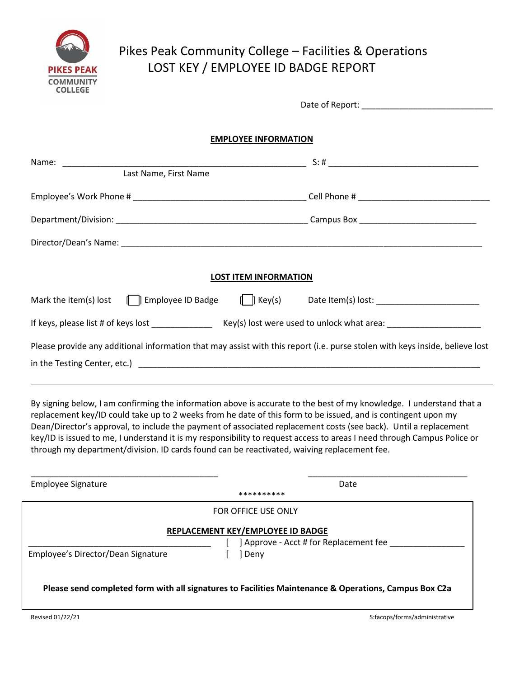

# Pikes Peak Community College – Facilities & Operations LOST KEY / EMPLOYEE ID BADGE REPORT

|                                                                                                                                         | <b>EMPLOYEE INFORMATION</b>  |
|-----------------------------------------------------------------------------------------------------------------------------------------|------------------------------|
| Last Name, First Name                                                                                                                   |                              |
|                                                                                                                                         |                              |
|                                                                                                                                         |                              |
|                                                                                                                                         |                              |
|                                                                                                                                         | <b>LOST ITEM INFORMATION</b> |
|                                                                                                                                         |                              |
| If keys, please list # of keys lost _______________________ Key(s) lost were used to unlock what area: ________________________________ |                              |
| Please provide any additional information that may assist with this report (i.e. purse stolen with keys inside, believe lost            |                              |

By signing below, I am confirming the information above is accurate to the best of my knowledge. I understand that a replacement key/ID could take up to 2 weeks from he date of this form to be issued, and is contingent upon my Dean/Director's approval, to include the payment of associated replacement costs (see back). Until a replacement key/ID is issued to me, I understand it is my responsibility to request access to areas I need through Campus Police or through my department/division. ID cards found can be reactivated, waiving replacement fee.

| <b>Employee Signature</b>                                                                             |            | Date                                   |
|-------------------------------------------------------------------------------------------------------|------------|----------------------------------------|
|                                                                                                       | ********** |                                        |
| FOR OFFICE USE ONLY                                                                                   |            |                                        |
| REPLACEMENT KEY/EMPLOYEE ID BADGE                                                                     |            |                                        |
|                                                                                                       |            | ] Approve - Acct # for Replacement fee |
| Employee's Director/Dean Signature                                                                    | Deny       |                                        |
| Please send completed form with all signatures to Facilities Maintenance & Operations, Campus Box C2a |            |                                        |